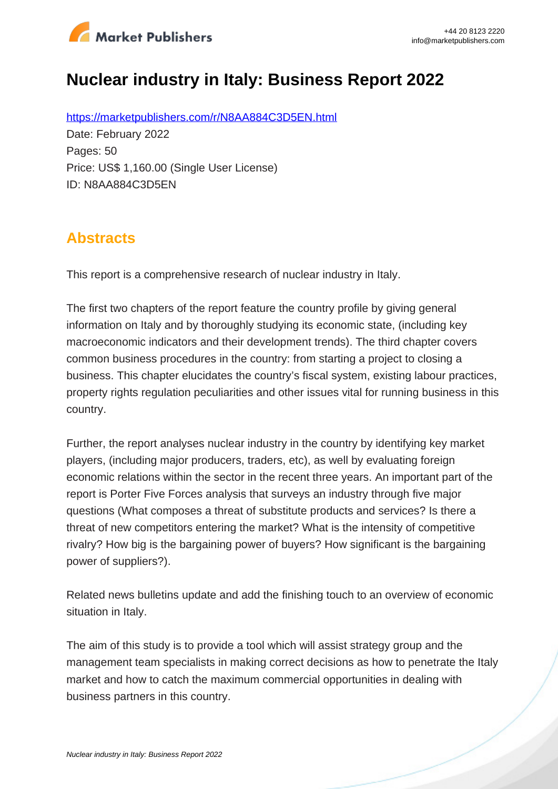

# **Nuclear industry in Italy: Business Report 2022**

https://marketpublishers.com/r/N8AA884C3D5EN.html Date: February 2022 Pages: 50 Price: US\$ 1,160.00 (Single User License) ID: N8AA884C3D5EN

## **Abstracts**

This report is a comprehensive research of nuclear industry in Italy.

The first two chapters of the report feature the country profile by giving general information on Italy and by thoroughly studying its economic state, (including key macroeconomic indicators and their development trends). The third chapter covers common business procedures in the country: from starting a project to closing a business. This chapter elucidates the country's fiscal system, existing labour practices, property rights regulation peculiarities and other issues vital for running business in this country.

Further, the report analyses nuclear industry in the country by identifying key market players, (including major producers, traders, etc), as well by evaluating foreign economic relations within the sector in the recent three years. An important part of the report is Porter Five Forces analysis that surveys an industry through five major questions (What composes a threat of substitute products and services? Is there a threat of new competitors entering the market? What is the intensity of competitive rivalry? How big is the bargaining power of buyers? How significant is the bargaining power of suppliers?).

Related news bulletins update and add the finishing touch to an overview of economic situation in Italy.

The aim of this study is to provide a tool which will assist strategy group and the management team specialists in making correct decisions as how to penetrate the Italy market and how to catch the maximum commercial opportunities in dealing with business partners in this country.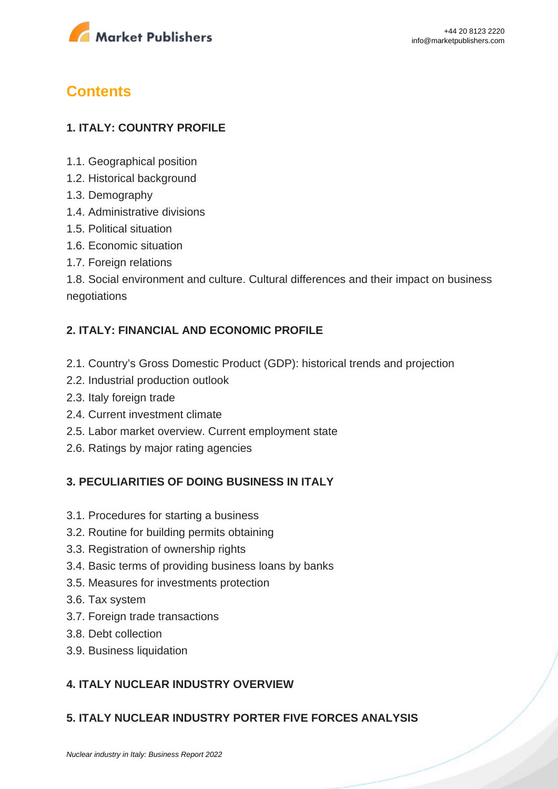

## **Contents**

## **1. ITALY: COUNTRY PROFILE**

- 1.1. Geographical position
- 1.2. Historical background
- 1.3. Demography
- 1.4. Administrative divisions
- 1.5. Political situation
- 1.6. Economic situation
- 1.7. Foreign relations

1.8. Social environment and culture. Cultural differences and their impact on business negotiations

### **2. ITALY: FINANCIAL AND ECONOMIC PROFILE**

- 2.1. Country's Gross Domestic Product (GDP): historical trends and projection
- 2.2. Industrial production outlook
- 2.3. Italy foreign trade
- 2.4. Current investment climate
- 2.5. Labor market overview. Current employment state
- 2.6. Ratings by major rating agencies

#### **3. PECULIARITIES OF DOING BUSINESS IN ITALY**

- 3.1. Procedures for starting a business
- 3.2. Routine for building permits obtaining
- 3.3. Registration of ownership rights
- 3.4. Basic terms of providing business loans by banks
- 3.5. Measures for investments protection
- 3.6. Tax system
- 3.7. Foreign trade transactions
- 3.8. Debt collection
- 3.9. Business liquidation

## **4. ITALY NUCLEAR INDUSTRY OVERVIEW**

#### **5. ITALY NUCLEAR INDUSTRY PORTER FIVE FORCES ANALYSIS**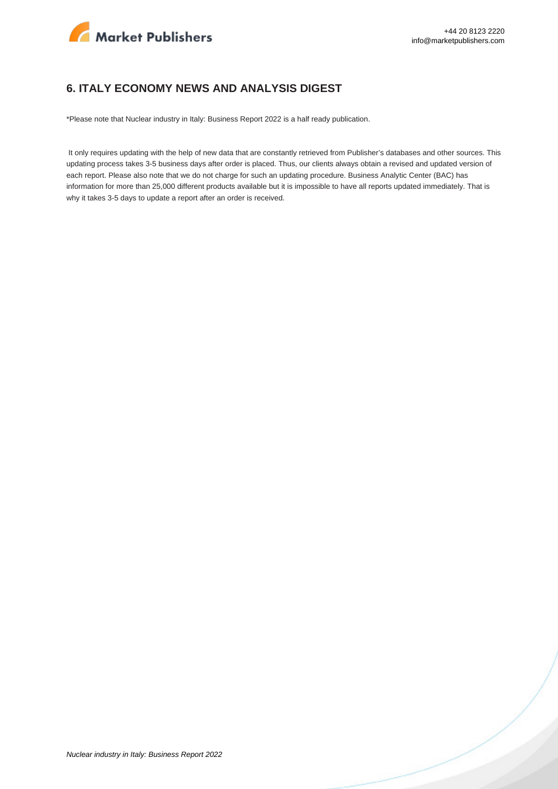

#### **6. ITALY ECONOMY NEWS AND ANALYSIS DIGEST**

\*Please note that Nuclear industry in Italy: Business Report 2022 is a half ready publication.

 It only requires updating with the help of new data that are constantly retrieved from Publisher's databases and other sources. This updating process takes 3-5 business days after order is placed. Thus, our clients always obtain a revised and updated version of each report. Please also note that we do not charge for such an updating procedure. Business Analytic Center (BAC) has information for more than 25,000 different products available but it is impossible to have all reports updated immediately. That is why it takes 3-5 days to update a report after an order is received.